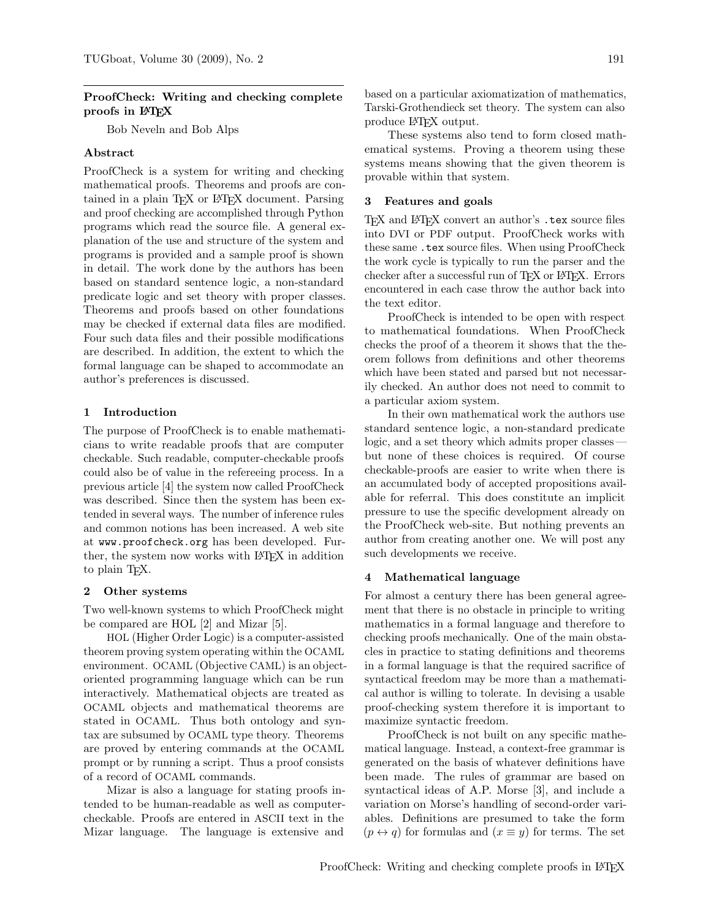## ProofCheck: Writing and checking complete proofs in LAT<sub>EX</sub>

Bob Neveln and Bob Alps

## Abstract

ProofCheck is a system for writing and checking mathematical proofs. Theorems and proofs are contained in a plain T<sub>EX</sub> or LAT<sub>EX</sub> document. Parsing and proof checking are accomplished through Python programs which read the source file. A general explanation of the use and structure of the system and programs is provided and a sample proof is shown in detail. The work done by the authors has been based on standard sentence logic, a non-standard predicate logic and set theory with proper classes. Theorems and proofs based on other foundations may be checked if external data files are modified. Four such data files and their possible modifications are described. In addition, the extent to which the formal language can be shaped to accommodate an author's preferences is discussed.

### 1 Introduction

The purpose of ProofCheck is to enable mathematicians to write readable proofs that are computer checkable. Such readable, computer-checkable proofs could also be of value in the refereeing process. In a previous article [4] the system now called ProofCheck was described. Since then the system has been extended in several ways. The number of inference rules and common notions has been increased. A web site at www.proofcheck.org has been developed. Further, the system now works with LATEX in addition to plain TEX.

#### Other systems

Two well-known systems to which ProofCheck might be compared are HOL [2] and Mizar [5].

HOL (Higher Order Logic) is a computer-assisted theorem proving system operating within the OCAML environment. OCAML (Objective CAML) is an objectoriented programming language which can be run interactively. Mathematical objects are treated as OCAML objects and mathematical theorems are stated in OCAML. Thus both ontology and syntax are subsumed by OCAML type theory. Theorems are proved by entering commands at the OCAML prompt or by running a script. Thus a proof consists of a record of OCAML commands.

Mizar is also a language for stating proofs intended to be human-readable as well as computercheckable. Proofs are entered in ASCII text in the Mizar language. The language is extensive and

based on a particular axiomatization of mathematics, Tarski-Grothendieck set theory. The system can also produce LATEX output.

These systems also tend to form closed mathematical systems. Proving a theorem using these systems means showing that the given theorem is provable within that system.

#### 3 Features and goals

TEX and LATEX convert an author's .tex source files into DVI or PDF output. ProofCheck works with these same .tex source files. When using ProofCheck the work cycle is typically to run the parser and the checker after a successful run of T<sub>F</sub>X or L<sup>AT</sup>F<sub>X</sub>. Errors encountered in each case throw the author back into the text editor.

ProofCheck is intended to be open with respect to mathematical foundations. When ProofCheck checks the proof of a theorem it shows that the theorem follows from definitions and other theorems which have been stated and parsed but not necessarily checked. An author does not need to commit to a particular axiom system.

In their own mathematical work the authors use standard sentence logic, a non-standard predicate logic, and a set theory which admits proper classes but none of these choices is required. Of course checkable-proofs are easier to write when there is an accumulated body of accepted propositions available for referral. This does constitute an implicit pressure to use the specific development already on the ProofCheck web-site. But nothing prevents an author from creating another one. We will post any such developments we receive.

#### 4 Mathematical language

For almost a century there has been general agreement that there is no obstacle in principle to writing mathematics in a formal language and therefore to checking proofs mechanically. One of the main obstacles in practice to stating definitions and theorems in a formal language is that the required sacrifice of syntactical freedom may be more than a mathematical author is willing to tolerate. In devising a usable proof-checking system therefore it is important to maximize syntactic freedom.

ProofCheck is not built on any specific mathematical language. Instead, a context-free grammar is generated on the basis of whatever definitions have been made. The rules of grammar are based on syntactical ideas of A.P. Morse [3], and include a variation on Morse's handling of second-order variables. Definitions are presumed to take the form  $(p \leftrightarrow q)$  for formulas and  $(x \equiv y)$  for terms. The set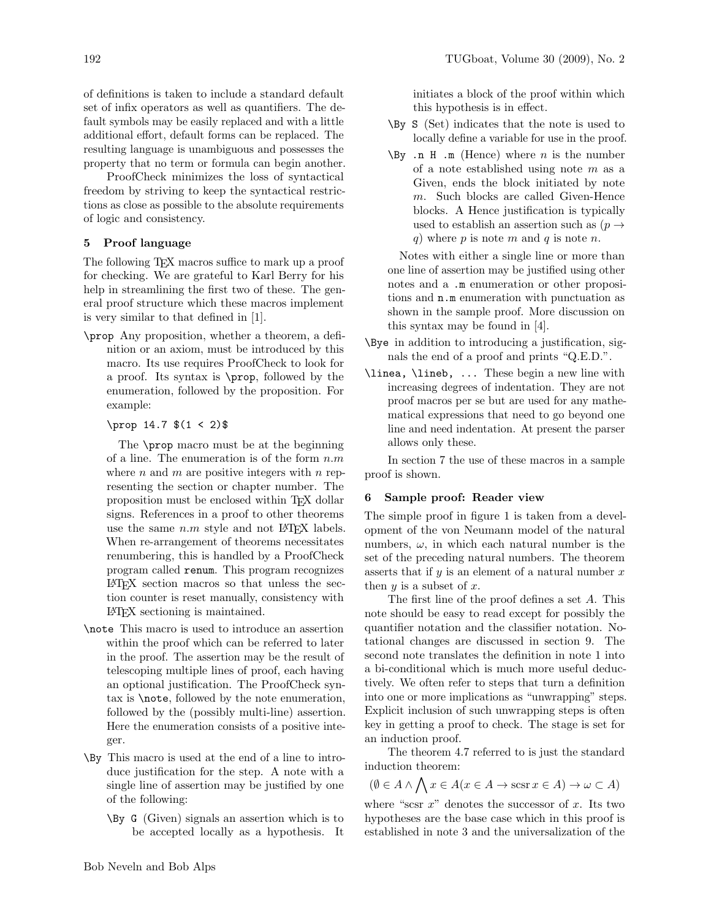of definitions is taken to include a standard default set of infix operators as well as quantifiers. The default symbols may be easily replaced and with a little additional effort, default forms can be replaced. The resulting language is unambiguous and possesses the property that no term or formula can begin another.

ProofCheck minimizes the loss of syntactical freedom by striving to keep the syntactical restrictions as close as possible to the absolute requirements of logic and consistency.

# 5 Proof language

The following T<sub>E</sub>X macros suffice to mark up a proof for checking. We are grateful to Karl Berry for his help in streamlining the first two of these. The general proof structure which these macros implement is very similar to that defined in [1].

\prop Any proposition, whether a theorem, a definition or an axiom, must be introduced by this macro. Its use requires ProofCheck to look for a proof. Its syntax is \prop, followed by the enumeration, followed by the proposition. For example:

# \prop 14.7 \$(1 < 2)\$

The \prop macro must be at the beginning of a line. The enumeration is of the form  $n.m$ where  $n$  and  $m$  are positive integers with  $n$  representing the section or chapter number. The proposition must be enclosed within TEX dollar signs. References in a proof to other theorems use the same  $n.m$  style and not LAT<sub>F</sub>X labels. When re-arrangement of theorems necessitates renumbering, this is handled by a ProofCheck program called renum. This program recognizes LATEX section macros so that unless the section counter is reset manually, consistency with LATEX sectioning is maintained.

- \note This macro is used to introduce an assertion within the proof which can be referred to later in the proof. The assertion may be the result of telescoping multiple lines of proof, each having an optional justification. The ProofCheck syntax is \note, followed by the note enumeration, followed by the (possibly multi-line) assertion. Here the enumeration consists of a positive integer.
- \By This macro is used at the end of a line to introduce justification for the step. A note with a single line of assertion may be justified by one of the following:
	- \By G (Given) signals an assertion which is to be accepted locally as a hypothesis. It

initiates a block of the proof within which this hypothesis is in effect.

- \By S (Set) indicates that the note is used to locally define a variable for use in the proof.
- $\forall$ By .n H .m (Hence) where *n* is the number of a note established using note m as a Given, ends the block initiated by note m. Such blocks are called Given-Hence blocks. A Hence justification is typically used to establish an assertion such as  $(p \rightarrow$ q) where p is note m and q is note n.

Notes with either a single line or more than one line of assertion may be justified using other notes and a .m enumeration or other propositions and n.m enumeration with punctuation as shown in the sample proof. More discussion on this syntax may be found in [4].

- \Bye in addition to introducing a justification, signals the end of a proof and prints "Q.E.D.".
- \linea, \lineb, ... These begin a new line with increasing degrees of indentation. They are not proof macros per se but are used for any mathematical expressions that need to go beyond one line and need indentation. At present the parser allows only these.

In section 7 the use of these macros in a sample proof is shown.

### 6 Sample proof: Reader view

The simple proof in figure 1 is taken from a development of the von Neumann model of the natural numbers,  $\omega$ , in which each natural number is the set of the preceding natural numbers. The theorem asserts that if  $y$  is an element of a natural number  $x$ then  $y$  is a subset of  $x$ .

The first line of the proof defines a set A. This note should be easy to read except for possibly the quantifier notation and the classifier notation. Notational changes are discussed in section 9. The second note translates the definition in note 1 into a bi-conditional which is much more useful deductively. We often refer to steps that turn a definition into one or more implications as "unwrapping" steps. Explicit inclusion of such unwrapping steps is often key in getting a proof to check. The stage is set for an induction proof.

The theorem 4.7 referred to is just the standard induction theorem:

$$
(\emptyset \in A \land \bigwedge x \in A (x \in A \to \operatorname{scsr} x \in A) \to \omega \subset A)
$$

where "scsr  $x$ " denotes the successor of  $x$ . Its two hypotheses are the base case which in this proof is established in note 3 and the universalization of the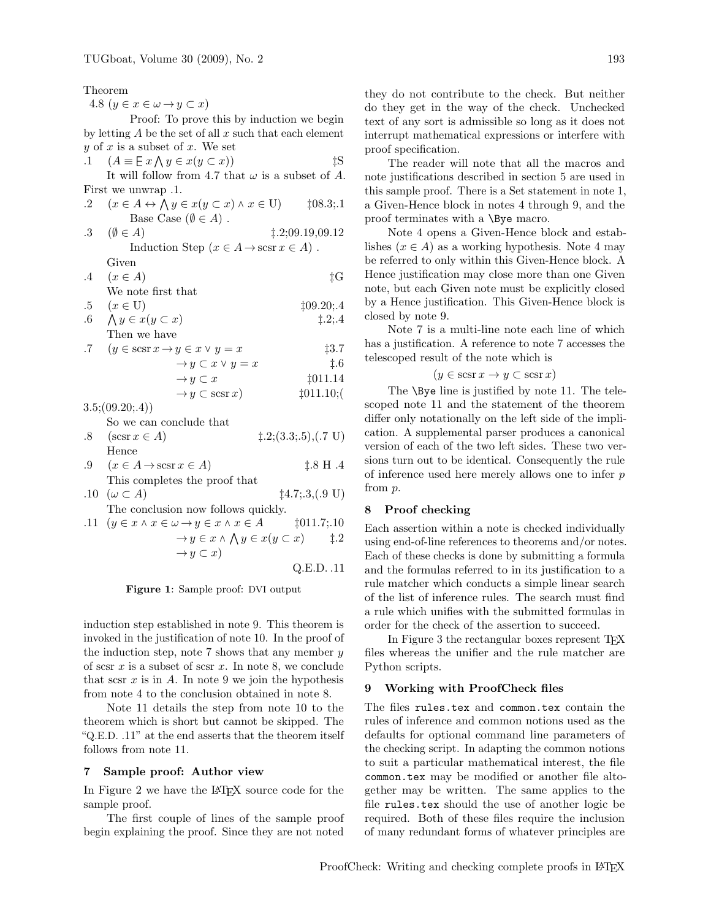Theorem

4.8  $(y \in x \in \omega \rightarrow y \subset x)$ 

Proof: To prove this by induction we begin by letting  $A$  be the set of all  $x$  such that each element  $y$  of  $x$  is a subset of  $x$ . We set

.1 
$$
(A \equiv \mathbb{E} x \land y \in x(y \subset x))
$$
 \n $\sharp S$   
\nIt will follow from 4.7 that  $\omega$  is a subset of A.  
\nFirst we unwrap .1.

|    | .2 $(x \in A \leftrightarrow \bigwedge y \in x(y \subset x) \land x \in U)$ | $\downarrow 08.3; .1$ |  |
|----|-----------------------------------------------------------------------------|-----------------------|--|
|    | Base Case $(\emptyset \in A)$ .                                             |                       |  |
|    | $.3 \quad (\emptyset \in A)$                                                | $\pm 2;09.19.09.12$   |  |
|    | Induction Step $(x \in A \rightarrow \text{scsr } x \in A)$ .               |                       |  |
|    | Given                                                                       |                       |  |
| .4 | $(x \in A)$                                                                 | İG                    |  |

| We note first that                          |               |
|---------------------------------------------|---------------|
| $\cdot 5 \quad (x \in U)$                   | $\pm 09.20:4$ |
| $\therefore$ $\land$ $y \in x(y \subset x)$ | $\pm 2:4$     |

Then we have

7 
$$
(y \in \operatorname{scsr} x \to y \in x \lor y = x
$$
   
\n $\to y \subset x \lor y = x$    
\n $\to y \subset x$    
\n $\to y \subset \operatorname{scsr} x$    
\n $\to y \subset \operatorname{scsr} x$    
\n $\to y \subset \operatorname{t011.10}$ 

 $3.5$ ; $(09.20;4)$ So we can conclude that

| $.8 \quad (\text{scsr } x \in A)$                     | $\ddagger$ .2;(3.3;.5),(.7 U) |
|-------------------------------------------------------|-------------------------------|
| Hence                                                 |                               |
| $.9 \quad (x \in A \rightarrow \text{scsr } x \in A)$ | $\pm .8$ H $.4$               |
|                                                       |                               |

This completes the proof that  
10 
$$
(\omega \subset A)
$$
  $\sharp$ 4.7; .3, (.9 U)

The conclusion now follows quickly.  
\n11 
$$
(u \in x \land x \in (u \rightarrow u \in x \land x \in A)
$$
 +011 7·10

→y ∈ x ^ V y ∈ x(y ⊂ x) ‡.2 →y ⊂ x)

Q.E.D. .11

Figure 1: Sample proof: DVI output

induction step established in note 9. This theorem is invoked in the justification of note 10. In the proof of the induction step, note 7 shows that any member  $y$ of scsr  $x$  is a subset of scsr  $x$ . In note 8, we conclude that scsr  $x$  is in  $A$ . In note 9 we join the hypothesis from note 4 to the conclusion obtained in note 8.

Note 11 details the step from note 10 to the theorem which is short but cannot be skipped. The "Q.E.D. .11" at the end asserts that the theorem itself follows from note 11.

### 7 Sample proof: Author view

In Figure 2 we have the LAT<sub>EX</sub> source code for the sample proof.

The first couple of lines of the sample proof begin explaining the proof. Since they are not noted

they do not contribute to the check. But neither do they get in the way of the check. Unchecked text of any sort is admissible so long as it does not interrupt mathematical expressions or interfere with proof specification.

The reader will note that all the macros and note justifications described in section 5 are used in this sample proof. There is a Set statement in note 1, a Given-Hence block in notes 4 through 9, and the proof terminates with a \Bye macro.

Note 4 opens a Given-Hence block and establishes ( $x \in A$ ) as a working hypothesis. Note 4 may be referred to only within this Given-Hence block. A Hence justification may close more than one Given note, but each Given note must be explicitly closed by a Hence justification. This Given-Hence block is closed by note 9.

Note 7 is a multi-line note each line of which has a justification. A reference to note 7 accesses the telescoped result of the note which is

$$
(y \in \text{scsr } x \to y \subset \text{scsr } x)
$$

The **\Bye** line is justified by note 11. The telescoped note 11 and the statement of the theorem differ only notationally on the left side of the implication. A supplemental parser produces a canonical version of each of the two left sides. These two versions turn out to be identical. Consequently the rule of inference used here merely allows one to infer  $p$ from p.

### 8 Proof checking

Each assertion within a note is checked individually using end-of-line references to theorems and/or notes. Each of these checks is done by submitting a formula and the formulas referred to in its justification to a rule matcher which conducts a simple linear search of the list of inference rules. The search must find a rule which unifies with the submitted formulas in order for the check of the assertion to succeed.

In Figure 3 the rectangular boxes represent T<sub>E</sub>X files whereas the unifier and the rule matcher are Python scripts.

### 9 Working with ProofCheck files

The files rules.tex and common.tex contain the rules of inference and common notions used as the defaults for optional command line parameters of the checking script. In adapting the common notions to suit a particular mathematical interest, the file common.tex may be modified or another file altogether may be written. The same applies to the file rules.tex should the use of another logic be required. Both of these files require the inclusion of many redundant forms of whatever principles are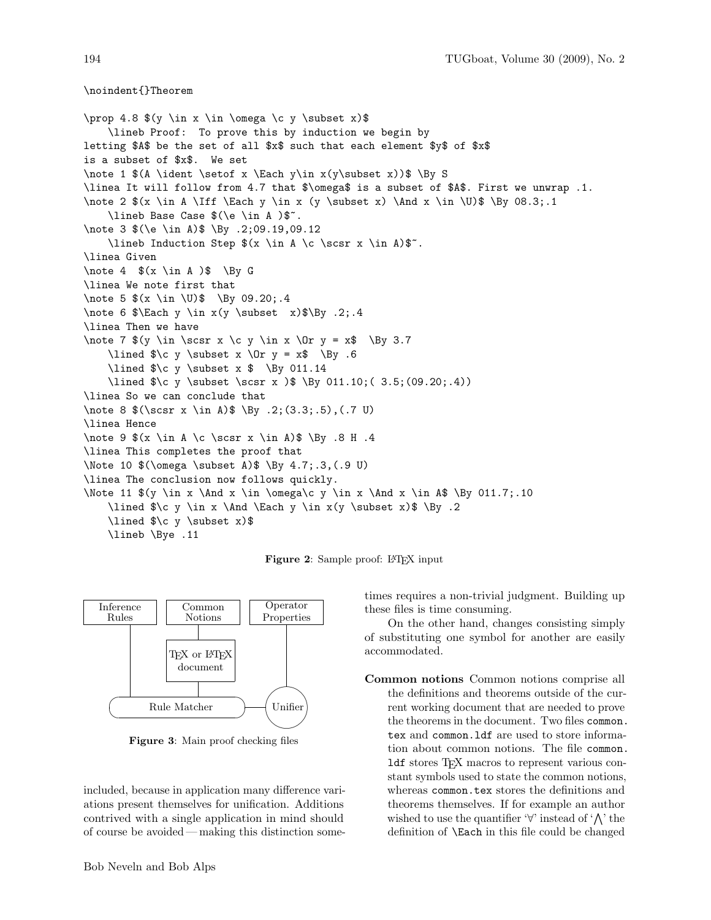\noindent{}Theorem

\prop 4.8  $(y \in x \in \Omega \c y \subset x)$ \lineb Proof: To prove this by induction we begin by letting \$A\$ be the set of all \$x\$ such that each element \$y\$ of \$x\$ is a subset of \$x\$. We set \note 1  $$(A \ident \setminus x \Each y\in x(y\substack{x}))$  \By S \linea It will follow from 4.7 that \$\omega\$ is a subset of \$A\$. First we unwrap .1. \note 2  $\{x \in A \If \ \Each \ y \in x \ (y \subset x) \And x \in \U\$  \By 08.3;.1 \lineb Base Case \$(\e \in A )\$~. \note 3 \$(\e \in A)\$ \By .2;09.19,09.12 \lineb Induction Step  $(x \in A \c \sorsr x \in A)$ : \linea Given \note 4  $$(x \in A)$ \$ \By G \linea We note first that \note 5  $(x \in \U0)$  \By 09.20;.4 \note 6 \$\Each y \in x(y \subset x)\$\By .2;.4 \linea Then we have \note 7  $(y \in \S(x) \cap x \cap y \in x \cap y = x$  \By 3.7 \lined  $\c$  y \subset x \Or y = x\$ \By .6 \lined  $\c$  y \subset x  $\$  \By 011.14 \lined \$\c y \subset \scsr x )\$ \By 011.10;( 3.5;(09.20;.4)) \linea So we can conclude that \note 8 \$(\scsr x \in A)\$ \By .2;(3.3;.5),(.7 U) \linea Hence \note 9  $(x \in A \setminus C \sorsr x \in A)$ \$ \By .8 H .4 \linea This completes the proof that \Note 10 \$(\omega \subset A)\$ \By 4.7;.3,(.9 U) \linea The conclusion now follows quickly. \Note 11  $\$$ (y \in x \And x \in \omega\c y \in x \And x \in A\$ \By 011.7;.10 \lined  $\alpha \$  \in x \And \Each y \in x(y \subset x)  $\$  \By .2 \lined \$\c y \subset x)\$ \lineb \Bye .11

Figure 2: Sample proof: L<sup>AT</sup>EX input



Figure 3: Main proof checking files

included, because in application many difference variations present themselves for unification. Additions contrived with a single application in mind should of course be avoided — making this distinction sometimes requires a non-trivial judgment. Building up these files is time consuming.

On the other hand, changes consisting simply of substituting one symbol for another are easily accommodated.

Common notions Common notions comprise all the definitions and theorems outside of the current working document that are needed to prove the theorems in the document. Two files common. tex and common.ldf are used to store information about common notions. The file common. ldf stores TEX macros to represent various constant symbols used to state the common notions, whereas common.tex stores the definitions and theorems themselves. If for example an author wished to use the quantifier  $\forall$ ' instead of ' $\wedge$ ' the definition of \Each in this file could be changed